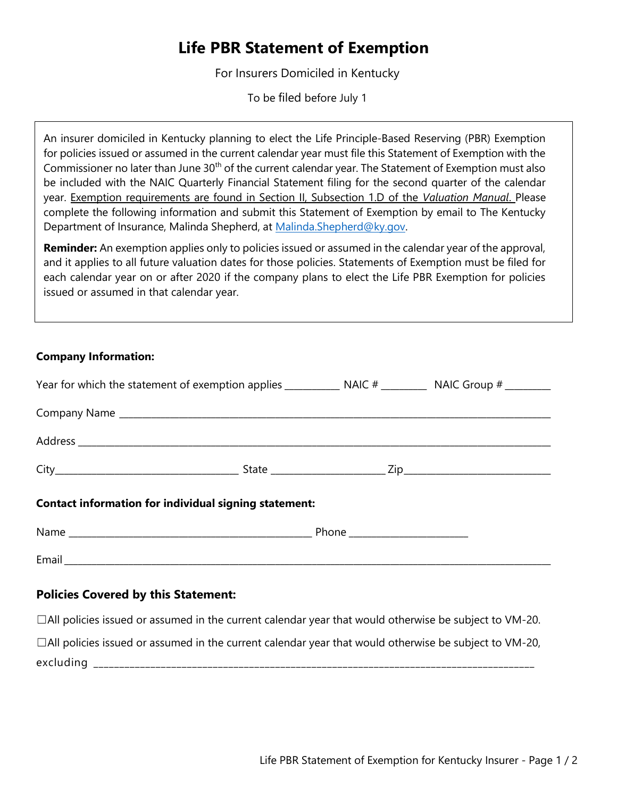## **Life PBR Statement of Exemption**

For Insurers Domiciled in Kentucky

To be filed before July 1

An insurer domiciled in Kentucky planning to elect the Life Principle-Based Reserving (PBR) Exemption for policies issued or assumed in the current calendar year must file this Statement of Exemption with the Commissioner no later than June 30<sup>th</sup> of the current calendar year. The Statement of Exemption must also be included with the NAIC Quarterly Financial Statement filing for the second quarter of the calendar year. Exemption requirements are found in Section II, Subsection 1.D of the *Valuation Manual*. Please complete the following information and submit this Statement of Exemption by email to The Kentucky Department of Insurance, Malinda Shepherd, at Malinda.Shepherd@ky.gov.

**Reminder:** An exemption applies only to policies issued or assumed in the calendar year of the approval, and it applies to all future valuation dates for those policies. Statements of Exemption must be filed for each calendar year on or after 2020 if the company plans to elect the Life PBR Exemption for policies issued or assumed in that calendar year.

## **Company Information:**

| <b>Contact information for individual signing statement:</b>                                                 |  |  |  |  |  |
|--------------------------------------------------------------------------------------------------------------|--|--|--|--|--|
|                                                                                                              |  |  |  |  |  |
|                                                                                                              |  |  |  |  |  |
| <b>Policies Covered by this Statement:</b>                                                                   |  |  |  |  |  |
| $\Box$ All policies issued or assumed in the current calendar year that would otherwise be subject to VM-20. |  |  |  |  |  |

☐All policies issued or assumed in the current calendar year that would otherwise be subject to VM-20, excluding \_\_\_\_\_\_\_\_\_\_\_\_\_\_\_\_\_\_\_\_\_\_\_\_\_\_\_\_\_\_\_\_\_\_\_\_\_\_\_\_\_\_\_\_\_\_\_\_\_\_\_\_\_\_\_\_\_\_\_\_\_\_\_\_\_\_\_\_\_\_\_\_\_\_\_\_\_\_\_\_\_\_\_\_\_